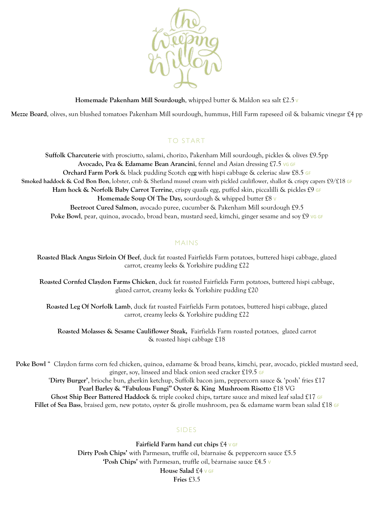

**Homemade Pakenham Mill Sourdough**, whipped butter & Maldon sea salt £2.5 V

**Mezze Board**, olives, sun blushed tomatoes Pakenham Mill sourdough, hummus, Hill Farm rapeseed oil & balsamic vinegar £4 pp

### TO START

**Suffolk Charcuterie** with prosciutto, salami, chorizo, Pakenham Mill sourdough, pickles & olives £9.5pp **Avocado, Pea & Edamame Bean Arancini**, fennel and Asian dressing £7.5 VG GF **Orchard Farm Pork** & black pudding Scotch eg**g** with hispi cabbage & celeriac slaw £8.5 GF **Smoked haddock & Cod Bon Bon**, lobster, crab & Shetland mussel cream with pickled cauliflower, shallot & crispy capers £9/£18 GF **Ham hock & Norfolk Baby Carrot Terrine**, crispy quails egg, puffed skin, piccalilli & pickles £9 GF **Homemade Soup Of The Day,** sourdough & whipped butter £8 V **Beetroot Cured Salmon**, avocado puree, cucumber & Pakenham Mill sourdough £9.5 **Poke Bowl**, pear, quinoa, avocado, broad bean, mustard seed, kimchi, ginger sesame and soy £9 vG GF

#### MAINS

**Roasted Black Angus Sirloin Of Beef**, duck fat roasted Fairfields Farm potatoes, buttered hispi cabbage, glazed carrot, creamy leeks & Yorkshire pudding £22

**Roasted Cornfed Claydon Farms Chicken**, duck fat roasted Fairfields Farm potatoes, buttered hispi cabbage, glazed carrot, creamy leeks & Yorkshire pudding £20

**Roasted Leg Of Norfolk Lamb**, duck fat roasted Fairfields Farm potatoes, buttered hispi cabbage, glazed carrot, creamy leeks & Yorkshire pudding £22

**Roasted Molasses & Sesame Cauliflower Steak,** Fairfields Farm roasted potatoes, glazed carrot & roasted hispi cabbage £18

**Poke Bowl** " Claydon farms corn fed chicken, quinoa, edamame & broad beans, kimchi, pear, avocado, pickled mustard seed, ginger, soy, linseed and black onion seed cracker £19.5 GF '**Dirty Burger'**, brioche bun, gherkin ketchup, Suffolk bacon jam, peppercorn sauce & 'posh' fries £17 **Pearl Barley & "Fabulous Fungi" Oyster & King Mushroom Risotto** £18 VG **Ghost Ship Beer Battered Haddock** & triple cooked chips, tartare sauce and mixed leaf salad £17 GF **Fillet of Sea Bass**, braised gem, new potato, oyster & girolle mushroom, pea & edamame warm bean salad £18 GF

### SIDES

**Fairfield Farm hand cut chips** £4 V GF **Dirty Posh Chips'** with Parmesan, truffle oil, béarnaise & peppercorn sauce £5.5 **'Posh Chips'** with Parmesan, truffle oil, béarnaise sauce £4.5 V **House Salad** £4 V GF **Fries** £3.5